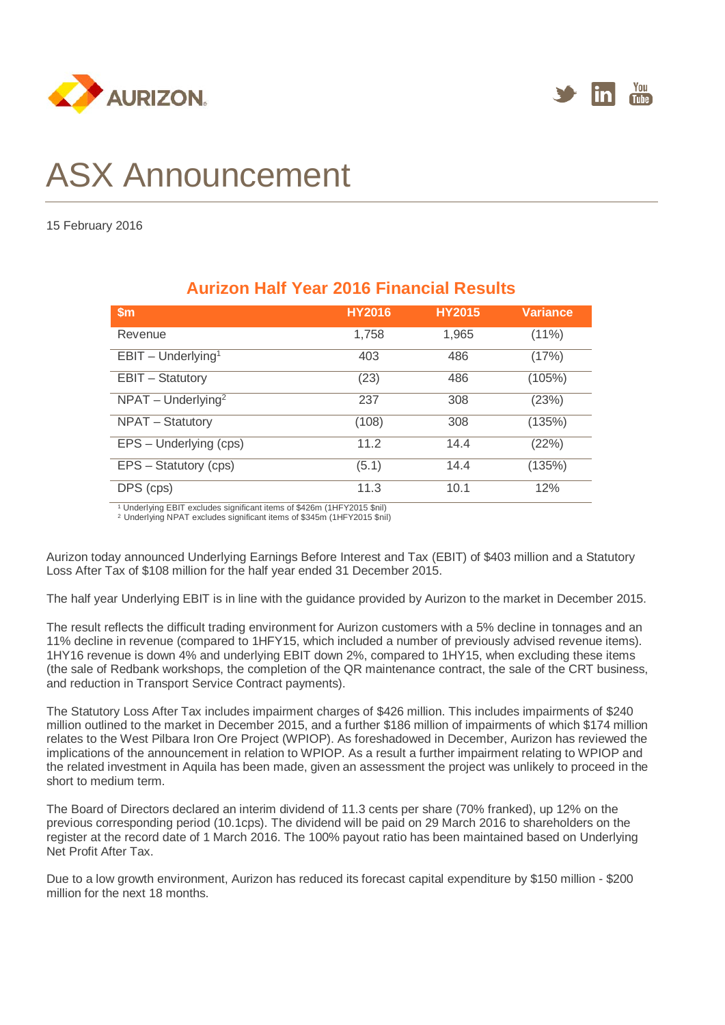



## ASX Announcement

15 February 2016

| \$m                     | <b>HY2016</b> | <b>HY2015</b> | <b>Variance</b> |
|-------------------------|---------------|---------------|-----------------|
| Revenue                 | 1,758         | 1,965         | $(11\%)$        |
| $EBIT - Underlying1$    | 403           | 486           | (17%)           |
| <b>EBIT - Statutory</b> | (23)          | 486           | (105%)          |
| $NPATH - Underlying2$   | 237           | 308           | (23%)           |
| NPAT - Statutory        | (108)         | 308           | (135%)          |
| EPS - Underlying (cps)  | 11.2          | 14.4          | (22%)           |
| EPS - Statutory (cps)   | (5.1)         | 14.4          | (135%)          |
| DPS (cps)               | 11.3          | 10.1          | 12%             |

## **Aurizon Half Year 2016 Financial Results**

<sup>1</sup> Underlying EBIT excludes significant items of \$426m (1HFY2015 \$nil) 2 Underlying NPAT excludes significant items of \$345m (1HFY2015 \$nil)

Aurizon today announced Underlying Earnings Before Interest and Tax (EBIT) of \$403 million and a Statutory Loss After Tax of \$108 million for the half year ended 31 December 2015.

The half year Underlying EBIT is in line with the guidance provided by Aurizon to the market in December 2015.

The result reflects the difficult trading environment for Aurizon customers with a 5% decline in tonnages and an 11% decline in revenue (compared to 1HFY15, which included a number of previously advised revenue items). 1HY16 revenue is down 4% and underlying EBIT down 2%, compared to 1HY15, when excluding these items (the sale of Redbank workshops, the completion of the QR maintenance contract, the sale of the CRT business, and reduction in Transport Service Contract payments).

The Statutory Loss After Tax includes impairment charges of \$426 million. This includes impairments of \$240 million outlined to the market in December 2015, and a further \$186 million of impairments of which \$174 million relates to the West Pilbara Iron Ore Project (WPIOP). As foreshadowed in December, Aurizon has reviewed the implications of the announcement in relation to WPIOP. As a result a further impairment relating to WPIOP and the related investment in Aquila has been made, given an assessment the project was unlikely to proceed in the short to medium term.

The Board of Directors declared an interim dividend of 11.3 cents per share (70% franked), up 12% on the previous corresponding period (10.1cps). The dividend will be paid on 29 March 2016 to shareholders on the register at the record date of 1 March 2016. The 100% payout ratio has been maintained based on Underlying Net Profit After Tax.

Due to a low growth environment, Aurizon has reduced its forecast capital expenditure by \$150 million - \$200 million for the next 18 months.